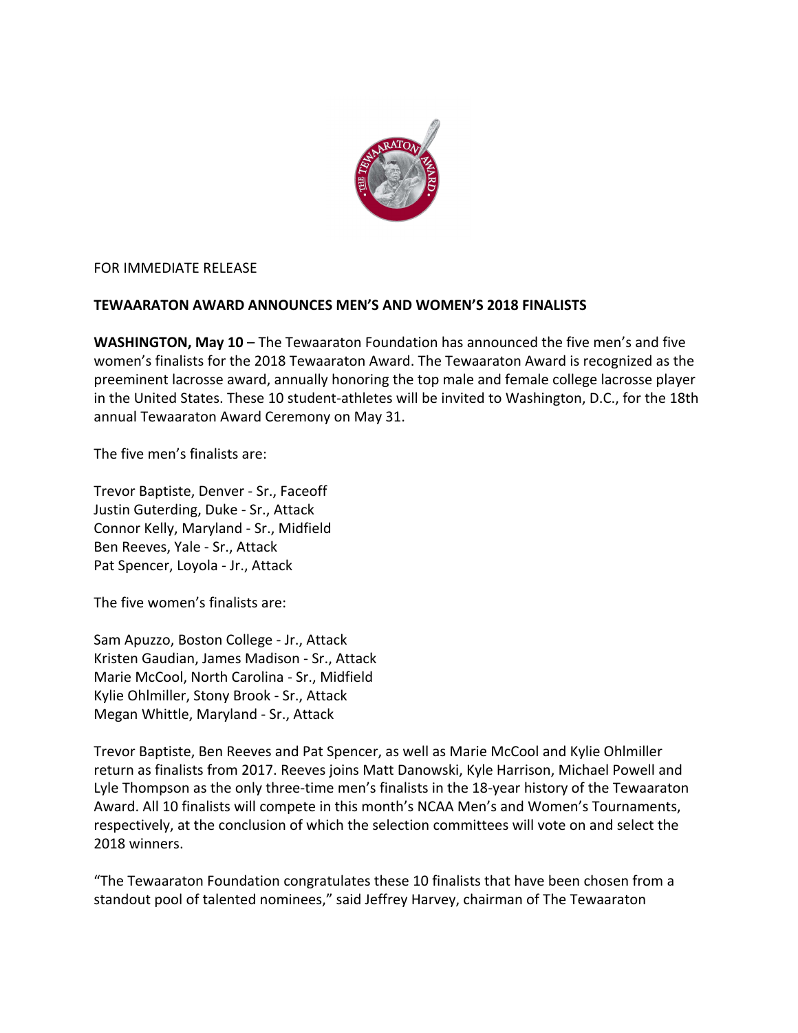

FOR IMMEDIATE RELEASE

## **TEWAARATON AWARD ANNOUNCES MEN'S AND WOMEN'S 2018 FINALISTS**

**WASHINGTON, May 10** – The Tewaaraton Foundation has announced the five men's and five women's finalists for the 2018 Tewaaraton Award. The Tewaaraton Award is recognized as the preeminent lacrosse award, annually honoring the top male and female college lacrosse player in the United States. These 10 student-athletes will be invited to Washington, D.C., for the 18th annual Tewaaraton Award Ceremony on May 31.

The five men's finalists are:

Trevor Baptiste, Denver - Sr., Faceoff Justin Guterding, Duke - Sr., Attack Connor Kelly, Maryland - Sr., Midfield Ben Reeves, Yale - Sr., Attack Pat Spencer, Loyola - Jr., Attack

The five women's finalists are:

Sam Apuzzo, Boston College - Jr., Attack Kristen Gaudian, James Madison - Sr., Attack Marie McCool, North Carolina - Sr., Midfield Kylie Ohlmiller, Stony Brook - Sr., Attack Megan Whittle, Maryland - Sr., Attack

Trevor Baptiste, Ben Reeves and Pat Spencer, as well as Marie McCool and Kylie Ohlmiller return as finalists from 2017. Reeves joins Matt Danowski, Kyle Harrison, Michael Powell and Lyle Thompson as the only three-time men's finalists in the 18-year history of the Tewaaraton Award. All 10 finalists will compete in this month's NCAA Men's and Women's Tournaments, respectively, at the conclusion of which the selection committees will vote on and select the 2018 winners.

"The Tewaaraton Foundation congratulates these 10 finalists that have been chosen from a standout pool of talented nominees," said Jeffrey Harvey, chairman of The Tewaaraton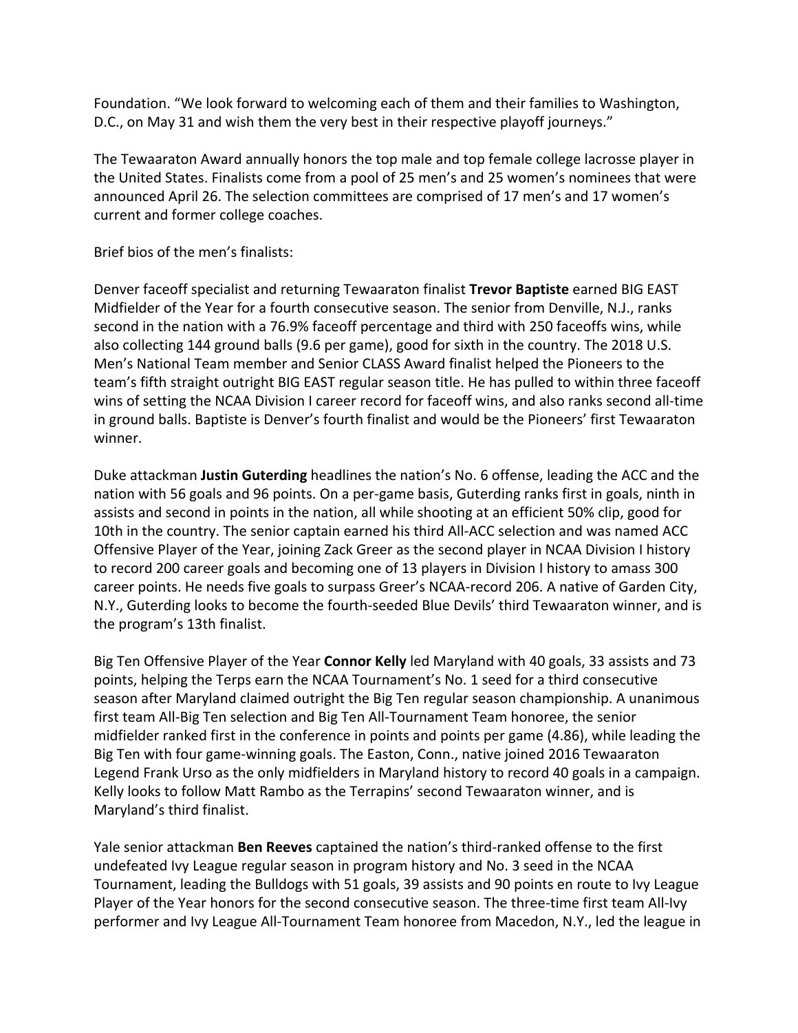Foundation. "We look forward to welcoming each of them and their families to Washington, D.C., on May 31 and wish them the very best in their respective playoff journeys."

The Tewaaraton Award annually honors the top male and top female college lacrosse player in the United States. Finalists come from a pool of 25 men's and 25 women's nominees that were announced April 26. The selection committees are comprised of 17 men's and 17 women's current and former college coaches.

Brief bios of the men's finalists:

Denver faceoff specialist and returning Tewaaraton finalist **Trevor Baptiste** earned BIG EAST Midfielder of the Year for a fourth consecutive season. The senior from Denville, N.J., ranks second in the nation with a 76.9% faceoff percentage and third with 250 faceoffs wins, while also collecting 144 ground balls (9.6 per game), good for sixth in the country. The 2018 U.S. Men's National Team member and Senior CLASS Award finalist helped the Pioneers to the team's fifth straight outright BIG EAST regular season title. He has pulled to within three faceoff wins of setting the NCAA Division I career record for faceoff wins, and also ranks second all-time in ground balls. Baptiste is Denver's fourth finalist and would be the Pioneers' first Tewaaraton winner.

Duke attackman **Justin Guterding** headlines the nation's No. 6 offense, leading the ACC and the nation with 56 goals and 96 points. On a per-game basis, Guterding ranks first in goals, ninth in assists and second in points in the nation, all while shooting at an efficient 50% clip, good for 10th in the country. The senior captain earned his third All-ACC selection and was named ACC Offensive Player of the Year, joining Zack Greer as the second player in NCAA Division I history to record 200 career goals and becoming one of 13 players in Division I history to amass 300 career points. He needs five goals to surpass Greer's NCAA-record 206. A native of Garden City, N.Y., Guterding looks to become the fourth-seeded Blue Devils' third Tewaaraton winner, and is the program's 13th finalist.

Big Ten Offensive Player of the Year **Connor Kelly** led Maryland with 40 goals, 33 assists and 73 points, helping the Terps earn the NCAA Tournament's No. 1 seed for a third consecutive season after Maryland claimed outright the Big Ten regular season championship. A unanimous first team All-Big Ten selection and Big Ten All-Tournament Team honoree, the senior midfielder ranked first in the conference in points and points per game (4.86), while leading the Big Ten with four game-winning goals. The Easton, Conn., native joined 2016 Tewaaraton Legend Frank Urso as the only midfielders in Maryland history to record 40 goals in a campaign. Kelly looks to follow Matt Rambo as the Terrapins' second Tewaaraton winner, and is Maryland's third finalist.

Yale senior attackman **Ben Reeves** captained the nation's third-ranked offense to the first undefeated Ivy League regular season in program history and No. 3 seed in the NCAA Tournament, leading the Bulldogs with 51 goals, 39 assists and 90 points en route to Ivy League Player of the Year honors for the second consecutive season. The three-time first team All-Ivy performer and Ivy League All-Tournament Team honoree from Macedon, N.Y., led the league in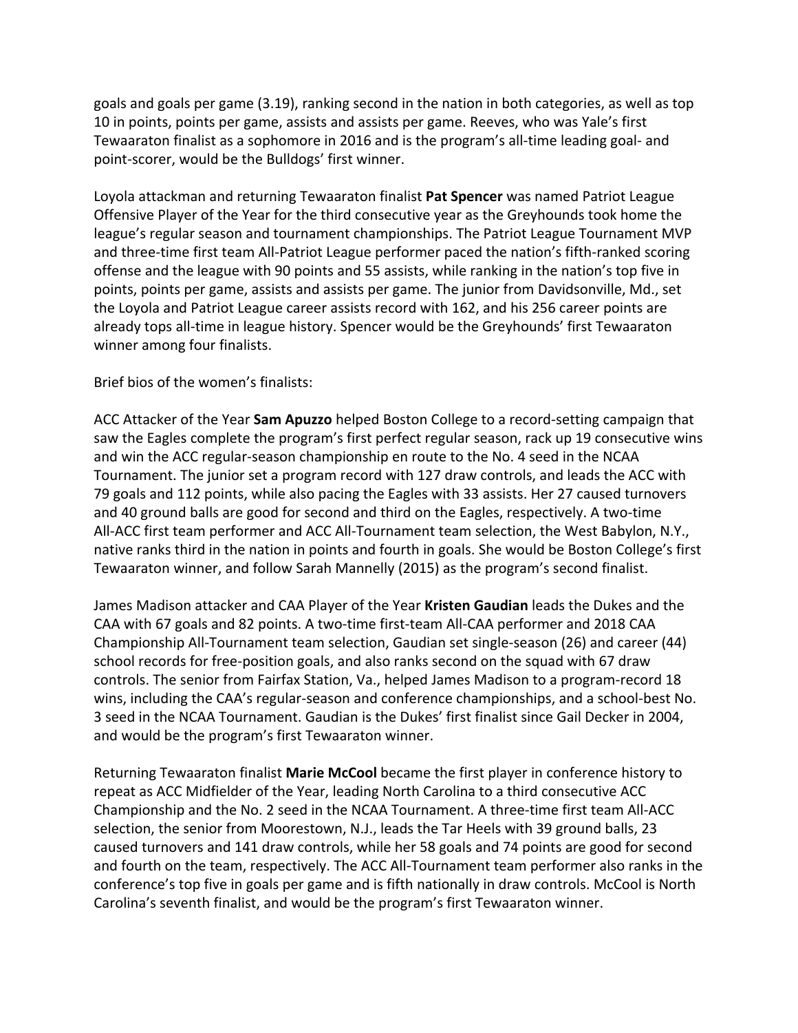goals and goals per game (3.19), ranking second in the nation in both categories, as well as top 10 in points, points per game, assists and assists per game. Reeves, who was Yale's first Tewaaraton finalist as a sophomore in 2016 and is the program's all-time leading goal- and point-scorer, would be the Bulldogs' first winner.

Loyola attackman and returning Tewaaraton finalist **Pat Spencer** was named Patriot League Offensive Player of the Year for the third consecutive year as the Greyhounds took home the league's regular season and tournament championships. The Patriot League Tournament MVP and three-time first team All-Patriot League performer paced the nation's fifth-ranked scoring offense and the league with 90 points and 55 assists, while ranking in the nation's top five in points, points per game, assists and assists per game. The junior from Davidsonville, Md., set the Loyola and Patriot League career assists record with 162, and his 256 career points are already tops all-time in league history. Spencer would be the Greyhounds' first Tewaaraton winner among four finalists.

Brief bios of the women's finalists:

ACC Attacker of the Year **Sam Apuzzo** helped Boston College to a record-setting campaign that saw the Eagles complete the program's first perfect regular season, rack up 19 consecutive wins and win the ACC regular-season championship en route to the No. 4 seed in the NCAA Tournament. The junior set a program record with 127 draw controls, and leads the ACC with 79 goals and 112 points, while also pacing the Eagles with 33 assists. Her 27 caused turnovers and 40 ground balls are good for second and third on the Eagles, respectively. A two-time All-ACC first team performer and ACC All-Tournament team selection, the West Babylon, N.Y., native ranks third in the nation in points and fourth in goals. She would be Boston College's first Tewaaraton winner, and follow Sarah Mannelly (2015) as the program's second finalist.

James Madison attacker and CAA Player of the Year **Kristen Gaudian** leads the Dukes and the CAA with 67 goals and 82 points. A two-time first-team All-CAA performer and 2018 CAA Championship All-Tournament team selection, Gaudian set single-season (26) and career (44) school records for free-position goals, and also ranks second on the squad with 67 draw controls. The senior from Fairfax Station, Va., helped James Madison to a program-record 18 wins, including the CAA's regular-season and conference championships, and a school-best No. 3 seed in the NCAA Tournament. Gaudian is the Dukes' first finalist since Gail Decker in 2004, and would be the program's first Tewaaraton winner.

Returning Tewaaraton finalist **Marie McCool** became the first player in conference history to repeat as ACC Midfielder of the Year, leading North Carolina to a third consecutive ACC Championship and the No. 2 seed in the NCAA Tournament. A three-time first team All-ACC selection, the senior from Moorestown, N.J., leads the Tar Heels with 39 ground balls, 23 caused turnovers and 141 draw controls, while her 58 goals and 74 points are good for second and fourth on the team, respectively. The ACC All-Tournament team performer also ranks in the conference's top five in goals per game and is fifth nationally in draw controls. McCool is North Carolina's seventh finalist, and would be the program's first Tewaaraton winner.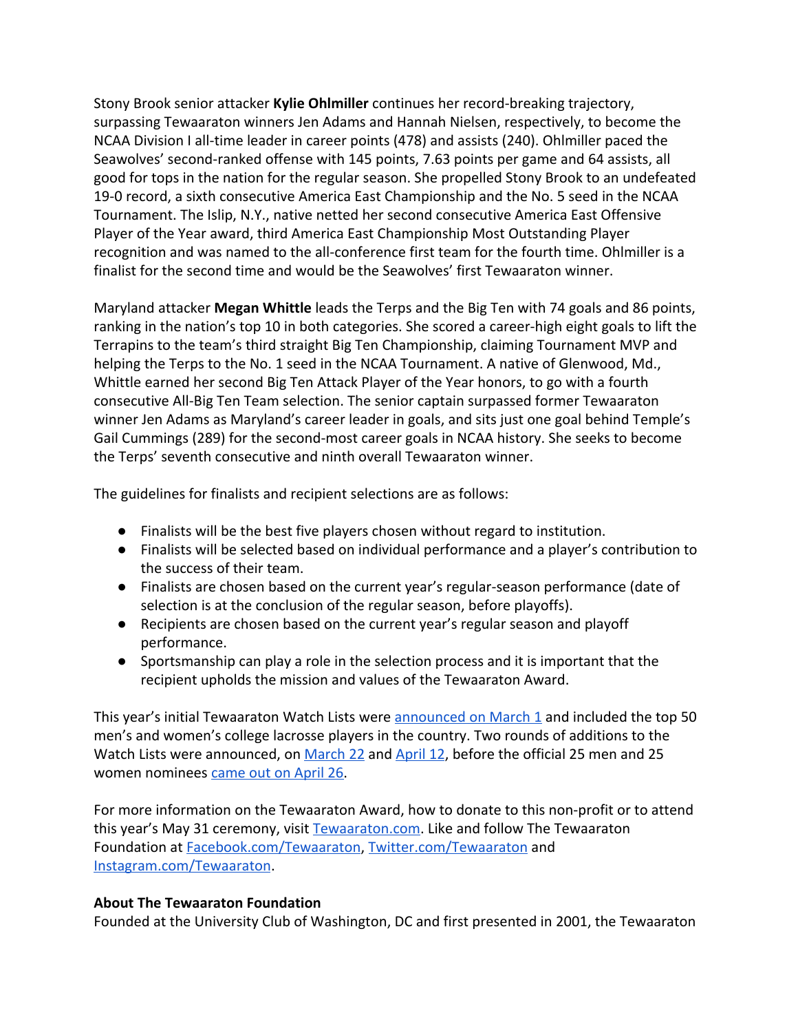Stony Brook senior attacker **Kylie Ohlmiller** continues her record-breaking trajectory, surpassing Tewaaraton winners Jen Adams and Hannah Nielsen, respectively, to become the NCAA Division I all-time leader in career points (478) and assists (240). Ohlmiller paced the Seawolves' second-ranked offense with 145 points, 7.63 points per game and 64 assists, all good for tops in the nation for the regular season. She propelled Stony Brook to an undefeated 19-0 record, a sixth consecutive America East Championship and the No. 5 seed in the NCAA Tournament. The Islip, N.Y., native netted her second consecutive America East Offensive Player of the Year award, third America East Championship Most Outstanding Player recognition and was named to the all-conference first team for the fourth time. Ohlmiller is a finalist for the second time and would be the Seawolves' first Tewaaraton winner.

Maryland attacker **Megan Whittle** leads the Terps and the Big Ten with 74 goals and 86 points, ranking in the nation's top 10 in both categories. She scored a career-high eight goals to lift the Terrapins to the team's third straight Big Ten Championship, claiming Tournament MVP and helping the Terps to the No. 1 seed in the NCAA Tournament. A native of Glenwood, Md., Whittle earned her second Big Ten Attack Player of the Year honors, to go with a fourth consecutive All-Big Ten Team selection. The senior captain surpassed former Tewaaraton winner Jen Adams as Maryland's career leader in goals, and sits just one goal behind Temple's Gail Cummings (289) for the second-most career goals in NCAA history. She seeks to become the Terps' seventh consecutive and ninth overall Tewaaraton winner.

The guidelines for finalists and recipient selections are as follows:

- Finalists will be the best five players chosen without regard to institution.
- Finalists will be selected based on individual performance and a player's contribution to the success of their team.
- Finalists are chosen based on the current year's regular-season performance (date of selection is at the conclusion of the regular season, before playoffs).
- Recipients are chosen based on the current year's regular season and playoff performance.
- Sportsmanship can play a role in the selection process and it is important that the recipient upholds the mission and values of the Tewaaraton Award.

This year's initial Tewaaraton Watch Lists were **announced on March 1** and included the top 50 men's and women's college lacrosse players in the country. Two rounds of additions to the Watch Lists were announced, on [March 22](http://bit.ly/2018firstroundadditions) and [April 12](http://bit.ly/18WatchListAdditions2), before the official 25 men and 25 women nominees [came out on April 26.](http://bit.ly/Tewaaraton2018Nominees)

For more information on the Tewaaraton Award, how to donate to this non-profit or to attend this year's May 31 ceremony, visit [Tewaaraton.com](http://tewaaraton.com/). Like and follow The Tewaaraton Foundation at [Facebook.com/Tewaaraton,](https://www.facebook.com/Tewaaraton/) [Twitter.com/Tewaaraton](https://twitter.com/tewaaraton) and [Instagram.com/Tewaaraton](https://www.instagram.com/Tewaaraton/).

## **About The Tewaaraton Foundation**

Founded at the University Club of Washington, DC and first presented in 2001, the Tewaaraton